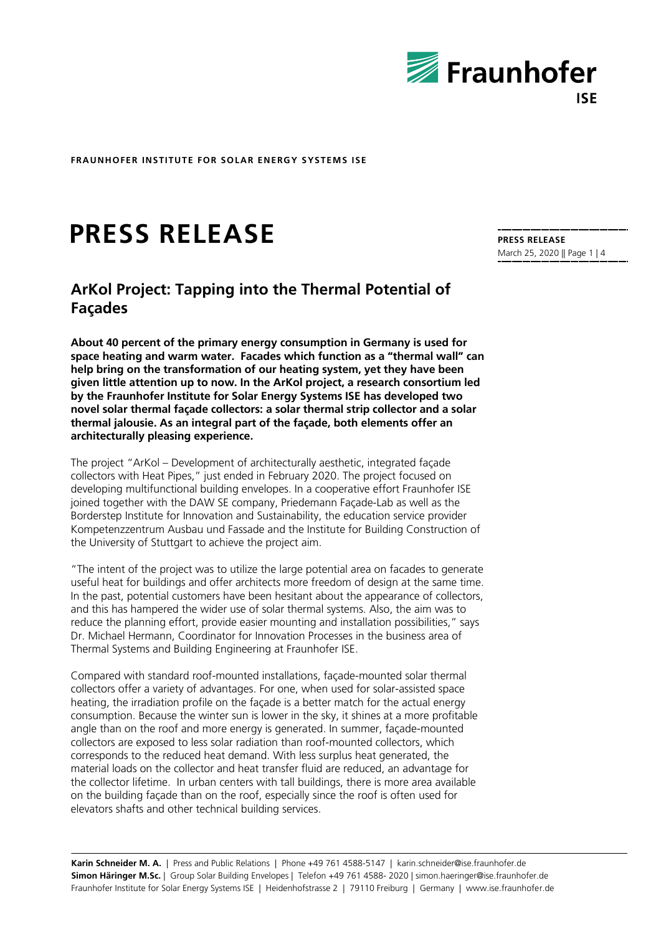

# **PRESS RELEASE**

# **ArKol Project: Tapping into the Thermal Potential of Façades**

**About 40 percent of the primary energy consumption in Germany is used for space heating and warm water. Facades which function as a "thermal wall" can help bring on the transformation of our heating system, yet they have been given little attention up to now. In the ArKol project, a research consortium led by the Fraunhofer Institute for Solar Energy Systems ISE has developed two novel solar thermal façade collectors: a solar thermal strip collector and a solar thermal jalousie. As an integral part of the façade, both elements offer an architecturally pleasing experience.**

The project "ArKol – Development of architecturally aesthetic, integrated façade collectors with Heat Pipes," just ended in February 2020. The project focused on developing multifunctional building envelopes. In a cooperative effort Fraunhofer ISE joined together with the DAW SE company, Priedemann Façade-Lab as well as the Borderstep Institute for Innovation and Sustainability, the education service provider Kompetenzzentrum Ausbau und Fassade and the Institute for Building Construction of the University of Stuttgart to achieve the project aim.

"The intent of the project was to utilize the large potential area on facades to generate useful heat for buildings and offer architects more freedom of design at the same time. In the past, potential customers have been hesitant about the appearance of collectors, and this has hampered the wider use of solar thermal systems. Also, the aim was to reduce the planning effort, provide easier mounting and installation possibilities," says Dr. Michael Hermann, Coordinator for Innovation Processes in the business area of Thermal Systems and Building Engineering at Fraunhofer ISE.

Compared with standard roof-mounted installations, façade-mounted solar thermal collectors offer a variety of advantages. For one, when used for solar-assisted space heating, the irradiation profile on the façade is a better match for the actual energy consumption. Because the winter sun is lower in the sky, it shines at a more profitable angle than on the roof and more energy is generated. In summer, façade-mounted collectors are exposed to less solar radiation than roof-mounted collectors, which corresponds to the reduced heat demand. With less surplus heat generated, the material loads on the collector and heat transfer fluid are reduced, an advantage for the collector lifetime. In urban centers with tall buildings, there is more area available on the building façade than on the roof, especially since the roof is often used for elevators shafts and other technical building services.

**Karin Schneider M. A.** | Press and Public Relations | Phone +49 761 4588-5147 | karin.schneider@ise.fraunhofer.de **Simon Häringer M.Sc.** | Group Solar Building Envelopes | Telefon +49 761 4588- 2020 | simon.haeringer@ise.fraunhofer.de Fraunhofer Institute for Solar Energy Systems ISE | Heidenhofstrasse 2 | 79110 Freiburg | Germany | www.ise.fraunhofer.de

**PRESS RELEASE** March 25, 2020 || Page 1 | 4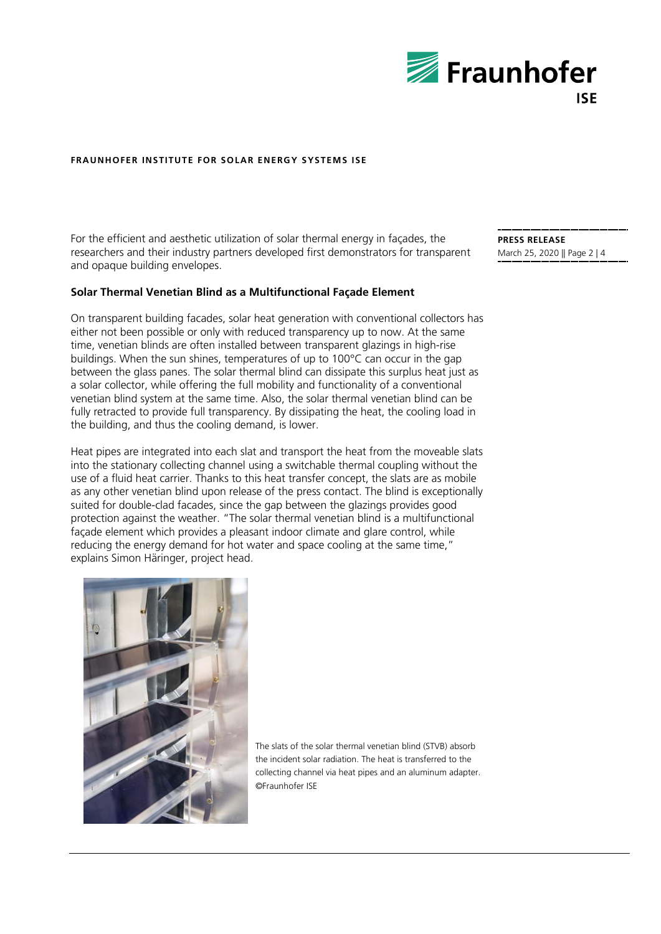

For the efficient and aesthetic utilization of solar thermal energy in façades, the researchers and their industry partners developed first demonstrators for transparent and opaque building envelopes.

## **Solar Thermal Venetian Blind as a Multifunctional Façade Element**

On transparent building facades, solar heat generation with conventional collectors has either not been possible or only with reduced transparency up to now. At the same time, venetian blinds are often installed between transparent glazings in high-rise buildings. When the sun shines, temperatures of up to 100°C can occur in the gap between the glass panes. The solar thermal blind can dissipate this surplus heat just as a solar collector, while offering the full mobility and functionality of a conventional venetian blind system at the same time. Also, the solar thermal venetian blind can be fully retracted to provide full transparency. By dissipating the heat, the cooling load in the building, and thus the cooling demand, is lower.

Heat pipes are integrated into each slat and transport the heat from the moveable slats into the stationary collecting channel using a switchable thermal coupling without the use of a fluid heat carrier. Thanks to this heat transfer concept, the slats are as mobile as any other venetian blind upon release of the press contact. The blind is exceptionally suited for double-clad facades, since the gap between the glazings provides good protection against the weather. "The solar thermal venetian blind is a multifunctional façade element which provides a pleasant indoor climate and glare control, while reducing the energy demand for hot water and space cooling at the same time," explains Simon Häringer, project head.



The slats of the solar thermal venetian blind (STVB) absorb the incident solar radiation. The heat is transferred to the collecting channel via heat pipes and an aluminum adapter. ©Fraunhofer ISE

**PRESS RELEASE** March 25, 2020 || Page 2 | 4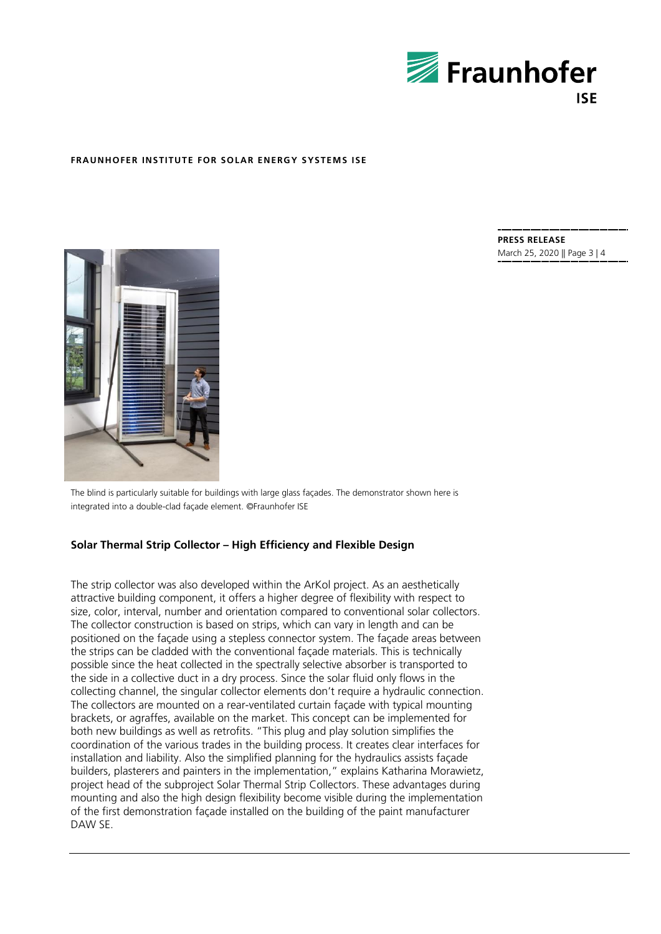

**PRESS RELEASE** March 25, 2020 || Page 3 | 4



The blind is particularly suitable for buildings with large glass façades. The demonstrator shown here is integrated into a double-clad façade element. ©Fraunhofer ISE

#### **Solar Thermal Strip Collector – High Efficiency and Flexible Design**

The strip collector was also developed within the ArKol project. As an aesthetically attractive building component, it offers a higher degree of flexibility with respect to size, color, interval, number and orientation compared to conventional solar collectors. The collector construction is based on strips, which can vary in length and can be positioned on the façade using a stepless connector system. The façade areas between the strips can be cladded with the conventional façade materials. This is technically possible since the heat collected in the spectrally selective absorber is transported to the side in a collective duct in a dry process. Since the solar fluid only flows in the collecting channel, the singular collector elements don't require a hydraulic connection. The collectors are mounted on a rear-ventilated curtain façade with typical mounting brackets, or agraffes, available on the market. This concept can be implemented for both new buildings as well as retrofits. "This plug and play solution simplifies the coordination of the various trades in the building process. It creates clear interfaces for installation and liability. Also the simplified planning for the hydraulics assists façade builders, plasterers and painters in the implementation," explains Katharina Morawietz, project head of the subproject Solar Thermal Strip Collectors. These advantages during mounting and also the high design flexibility become visible during the implementation of the first demonstration façade installed on the building of the paint manufacturer DAW SE.